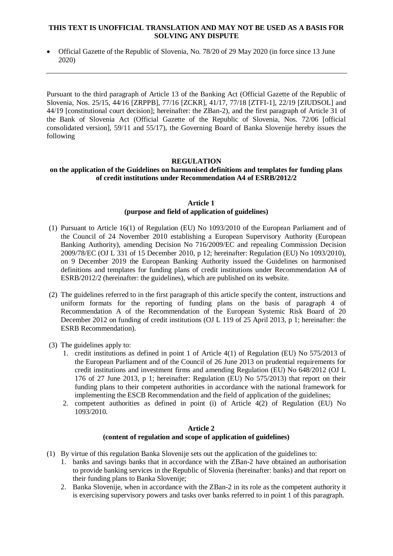### **THIS TEXT IS UNOFFICIAL TRANSLATION AND MAY NOT BE USED AS A BASIS FOR SOLVING ANY DISPUTE**

 Official Gazette of the Republic of Slovenia, No. 78/20 of 29 May 2020 (in force since 13 June 2020)

Pursuant to the third paragraph of Article 13 of the Banking Act (Official Gazette of the Republic of Slovenia, Nos. 25/15, 44/16 [ZRPPB], 77/16 [ZCKR], 41/17, 77/18 [ZTFI-1], 22/19 [ZIUDSOL] and [44/19](http://www.uradni-list.si/1/objava.jsp?sop=2019-01-2011) [constitutional court decision]; hereinafter: the ZBan-2), and the first paragraph of Article 31 of the Bank of Slovenia Act (Official Gazette of the Republic of Slovenia, Nos. 72/06 [official consolidated version], 59/11 and 55/17), the Governing Board of Banka Slovenije hereby issues the following

# **REGULATION**

## **on the application of the Guidelines on harmonised definitions and templates for funding plans of credit institutions under Recommendation A4 of ESRB/2012/2**

### **Article 1 (purpose and field of application of guidelines)**

- (1) Pursuant to Article 16(1) of Regulation (EU) No 1093/2010 of the European Parliament and of the Council of 24 November 2010 establishing a European Supervisory Authority (European Banking Authority), amending Decision No 716/2009/EC and repealing Commission Decision 2009/78/EC (OJ L 331 of 15 December 2010, p 12; hereinafter: Regulation (EU) No 1093/2010), on 9 December 2019 the European Banking Authority issued the Guidelines on harmonised definitions and templates for funding plans of credit institutions under Recommendation A4 of ESRB/2012/2 (hereinafter: the guidelines), which are published on its website.
- (2) The guidelines referred to in the first paragraph of this article specify the content, instructions and uniform formats for the reporting of funding plans on the basis of paragraph 4 of Recommendation A of the Recommendation of the European Systemic Risk Board of 20 December 2012 on funding of credit institutions (OJ L 119 of 25 April 2013, p 1; hereinafter: the ESRB Recommendation).
- (3) The guidelines apply to:
	- 1. credit institutions as defined in point 1 of Article 4(1) of Regulation (EU) No 575/2013 of the European Parliament and of the Council of 26 June 2013 on prudential requirements for credit institutions and investment firms and amending Regulation (EU) No 648/2012 (OJ L 176 of 27 June 2013, p 1; hereinafter: Regulation (EU) No 575/2013) that report on their funding plans to their competent authorities in accordance with the national framework for implementing the ESCB Recommendation and the field of application of the guidelines;
	- 2. competent authorities as defined in point (i) of Article 4(2) of Regulation (EU) No 1093/2010.

# **Article 2 (content of regulation and scope of application of guidelines)**

- (1) By virtue of this regulation Banka Slovenije sets out the application of the guidelines to:
	- 1. banks and savings banks that in accordance with the ZBan-2 have obtained an authorisation to provide banking services in the Republic of Slovenia (hereinafter: banks) and that report on their funding plans to Banka Slovenije;
	- 2. Banka Slovenije, when in accordance with the ZBan-2 in its role as the competent authority it is exercising supervisory powers and tasks over banks referred to in point 1 of this paragraph.